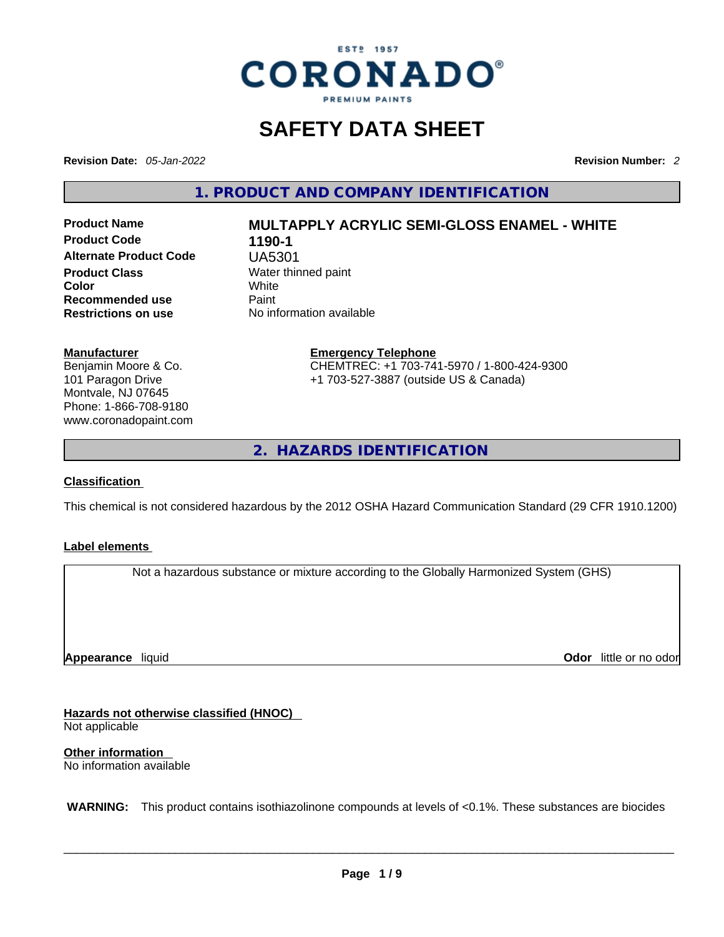

# **SAFETY DATA SHEET**

**Revision Date:** *05-Jan-2022* **Revision Number:** *2*

**1. PRODUCT AND COMPANY IDENTIFICATION** 

**Product Code 1190-1 Alternate Product Code** UA5301 **Product Class Water thinned paint**<br> **Color Color Color** White **Recommended use Paint Restrictions on use** No information available

# **Product Name MULTAPPLY ACRYLIC SEMI-GLOSS ENAMEL - WHITE**

#### **Manufacturer**

Benjamin Moore & Co. 101 Paragon Drive Montvale, NJ 07645 Phone: 1-866-708-9180 www.coronadopaint.com

# **Emergency Telephone** CHEMTREC: +1 703-741-5970 / 1-800-424-9300

+1 703-527-3887 (outside US & Canada)

**2. HAZARDS IDENTIFICATION** 

#### **Classification**

This chemical is not considered hazardous by the 2012 OSHA Hazard Communication Standard (29 CFR 1910.1200)

#### **Label elements**

Not a hazardous substance or mixture according to the Globally Harmonized System (GHS)

**Appearance** liquid

**Odor** little or no odor

**Hazards not otherwise classified (HNOC)**  Not applicable

**Other information**  No information available

 **WARNING:** This product contains isothiazolinone compounds at levels of <0.1%. These substances are biocides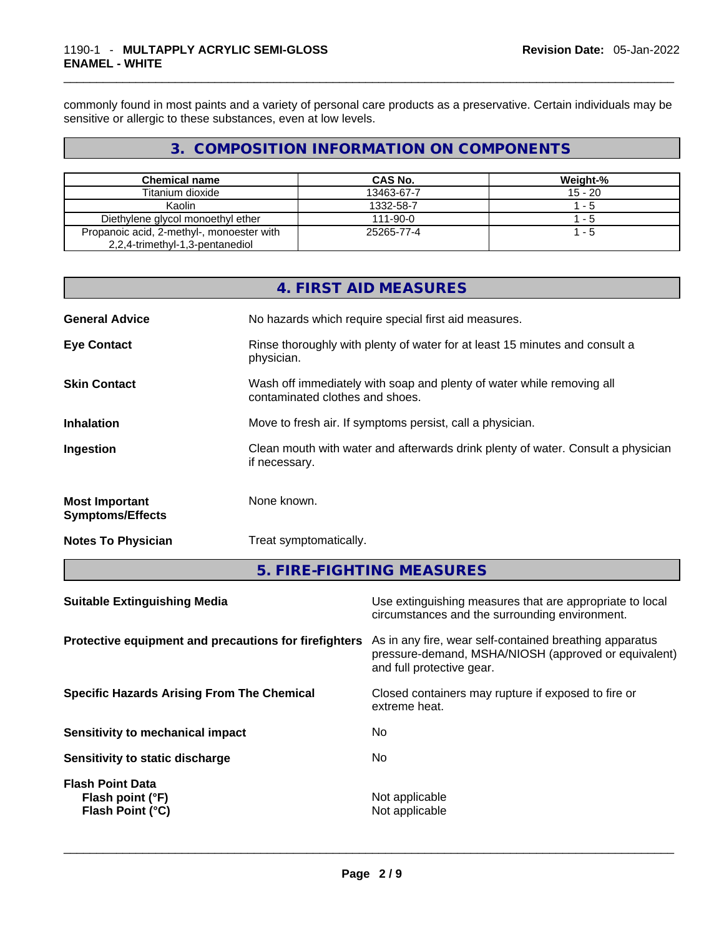commonly found in most paints and a variety of personal care products as a preservative. Certain individuals may be sensitive or allergic to these substances, even at low levels.

# **3. COMPOSITION INFORMATION ON COMPONENTS**

| <b>Chemical name</b>                                                         | CAS No.        | Weight-%  |
|------------------------------------------------------------------------------|----------------|-----------|
| Titanium dioxide                                                             | 13463-67-7     | $15 - 20$ |
| Kaolin                                                                       | 1332-58-7      | 1 - 5     |
| Diethylene glycol monoethyl ether                                            | $111 - 90 - 0$ | - 5       |
| Propanoic acid, 2-methyl-, monoester with<br>2,2,4-trimethyl-1,3-pentanediol | 25265-77-4     | 1 - 5     |

|                                                  | 4. FIRST AID MEASURES                                                                                    |
|--------------------------------------------------|----------------------------------------------------------------------------------------------------------|
| <b>General Advice</b>                            | No hazards which require special first aid measures.                                                     |
| <b>Eye Contact</b>                               | Rinse thoroughly with plenty of water for at least 15 minutes and consult a<br>physician.                |
| <b>Skin Contact</b>                              | Wash off immediately with soap and plenty of water while removing all<br>contaminated clothes and shoes. |
| <b>Inhalation</b>                                | Move to fresh air. If symptoms persist, call a physician.                                                |
| Ingestion                                        | Clean mouth with water and afterwards drink plenty of water. Consult a physician<br>if necessary.        |
| <b>Most Important</b><br><b>Symptoms/Effects</b> | None known.                                                                                              |
| <b>Notes To Physician</b>                        | Treat symptomatically.                                                                                   |

# **5. FIRE-FIGHTING MEASURES**

| Use extinguishing measures that are appropriate to local<br>circumstances and the surrounding environment.                                                                                            |
|-------------------------------------------------------------------------------------------------------------------------------------------------------------------------------------------------------|
| Protective equipment and precautions for firefighters<br>As in any fire, wear self-contained breathing apparatus<br>pressure-demand, MSHA/NIOSH (approved or equivalent)<br>and full protective gear. |
| Closed containers may rupture if exposed to fire or<br>extreme heat.                                                                                                                                  |
| No.                                                                                                                                                                                                   |
| No.                                                                                                                                                                                                   |
| Not applicable<br>Not applicable                                                                                                                                                                      |
|                                                                                                                                                                                                       |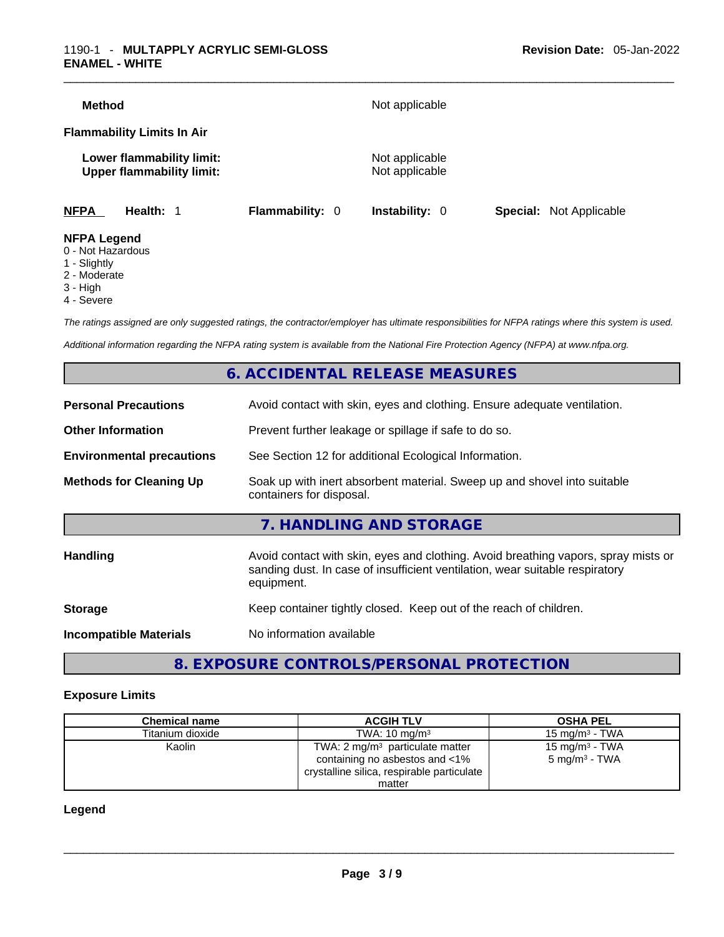| <b>Method</b>                                                 |                        | Not applicable                   |                                |
|---------------------------------------------------------------|------------------------|----------------------------------|--------------------------------|
| <b>Flammability Limits In Air</b>                             |                        |                                  |                                |
| Lower flammability limit:<br><b>Upper flammability limit:</b> |                        | Not applicable<br>Not applicable |                                |
| <b>NFPA</b><br>Health: 1                                      | <b>Flammability: 0</b> | <b>Instability: 0</b>            | <b>Special:</b> Not Applicable |
| <b>NFPA Legend</b>                                            |                        |                                  |                                |

#### 0 - Not Hazardous

- 1 Slightly
- 2 Moderate
- 3 High
- 4 Severe

*The ratings assigned are only suggested ratings, the contractor/employer has ultimate responsibilities for NFPA ratings where this system is used.* 

*Additional information regarding the NFPA rating system is available from the National Fire Protection Agency (NFPA) at www.nfpa.org.* 

## **6. ACCIDENTAL RELEASE MEASURES**

| <b>Personal Precautions</b>      | Avoid contact with skin, eyes and clothing. Ensure adequate ventilation.                                                                                           |  |  |
|----------------------------------|--------------------------------------------------------------------------------------------------------------------------------------------------------------------|--|--|
| <b>Other Information</b>         | Prevent further leakage or spillage if safe to do so.                                                                                                              |  |  |
| <b>Environmental precautions</b> | See Section 12 for additional Ecological Information.                                                                                                              |  |  |
| <b>Methods for Cleaning Up</b>   | Soak up with inert absorbent material. Sweep up and shovel into suitable<br>containers for disposal.                                                               |  |  |
|                                  | 7. HANDLING AND STORAGE                                                                                                                                            |  |  |
| Handling                         | Avoid contact with skin, eyes and clothing. Avoid breathing vapors, spray mists or<br>sanding dust. In case of insufficient ventilation, wear suitable respiratory |  |  |
|                                  | equipment.                                                                                                                                                         |  |  |
| <b>Storage</b>                   | Keep container tightly closed. Keep out of the reach of children.                                                                                                  |  |  |

# **8. EXPOSURE CONTROLS/PERSONAL PROTECTION**

#### **Exposure Limits**

| <b>Chemical name</b> | <b>ACGIH TLV</b>                                                                                                           | <b>OSHA PEL</b>                               |
|----------------------|----------------------------------------------------------------------------------------------------------------------------|-----------------------------------------------|
| Titanium dioxide     | TWA: $10 \text{ ma/m}^3$                                                                                                   | 15 mg/m $3$ - TWA                             |
| Kaolin               | TWA: $2 \text{ mg/m}^3$ particulate matter<br>containing no asbestos and <1%<br>crystalline silica, respirable particulate | 15 mg/m $3$ - TWA<br>$5 \text{ mg/m}^3$ - TWA |
|                      | matter                                                                                                                     |                                               |

#### **Legend**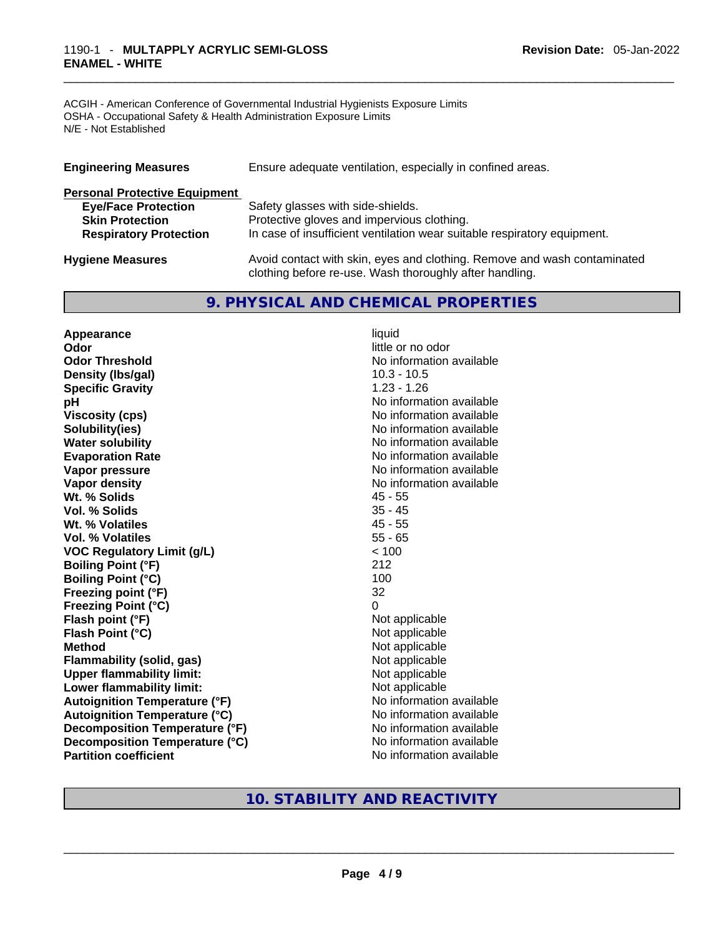#### \_\_\_\_\_\_\_\_\_\_\_\_\_\_\_\_\_\_\_\_\_\_\_\_\_\_\_\_\_\_\_\_\_\_\_\_\_\_\_\_\_\_\_\_\_\_\_\_\_\_\_\_\_\_\_\_\_\_\_\_\_\_\_\_\_\_\_\_\_\_\_\_\_\_\_\_\_\_\_\_\_\_\_\_\_\_\_\_\_\_\_\_\_ 1190-1 - **MULTAPPLY ACRYLIC SEMI-GLOSS ENAMEL - WHITE**

ACGIH - American Conference of Governmental Industrial Hygienists Exposure Limits OSHA - Occupational Safety & Health Administration Exposure Limits N/E - Not Established

| <b>Engineering Measures</b>          | Ensure adequate ventilation, especially in confined areas.               |  |  |
|--------------------------------------|--------------------------------------------------------------------------|--|--|
| <b>Personal Protective Equipment</b> |                                                                          |  |  |
| <b>Eye/Face Protection</b>           | Safety glasses with side-shields.                                        |  |  |
| <b>Skin Protection</b>               | Protective gloves and impervious clothing.                               |  |  |
| <b>Respiratory Protection</b>        | In case of insufficient ventilation wear suitable respiratory equipment. |  |  |
| <b>Hygiene Measures</b>              | Avoid contact with skin, eyes and clothing. Remove and wash contaminated |  |  |

# **9. PHYSICAL AND CHEMICAL PROPERTIES**

clothing before re-use. Wash thoroughly after handling.

**Appearance** liquid **Odor Odor Odor Odor Odor Odor** *little or no odor little or no odor little or no odor* **Odor Threshold No information available No information available Density (lbs/gal)** 10.3 - 10.5 **Specific Gravity** 1.23 - 1.26 **pH pH No** information available **Viscosity (cps)** No information available **Water solubility Water solubility Water solubility Water solubility Water solubility Water solution Evaporation Rate No information available No information available Vapor pressure**  No information available **Vapor pressure No information available Vapor density Vapor** density **Wt. % Solids** 45 - 55 **Vol. % Solids** 35 - 45 **Wt. % Volatiles Vol. % Volatiles** 55 - 65 **VOC Regulatory Limit (g/L)** < 100 **Boiling Point (°F)** 212 **Boiling Point (°C)** 100<br> **Preezing point (°F)** 32 **Freezing point (°F) Freezing Point (°C)** 0 **Flash point (°F)** Not applicable **Flash Point (°C)** Not applicable **Method Not applicable Not applicable Flammability (solid, gas)** Not applicable **Upper flammability limit:** Not applicable **Lower flammability limit:** Not applicable **Autoignition Temperature (°F)** No information available **Autoignition Temperature (°C)** No information available **Decomposition Temperature (°F)**<br> **Decomposition Temperature (°C)** No information available **Decomposition Temperature (°C)**<br>Partition coefficient **No information available** 

**Solubility(ies)** No information available

## **10. STABILITY AND REACTIVITY**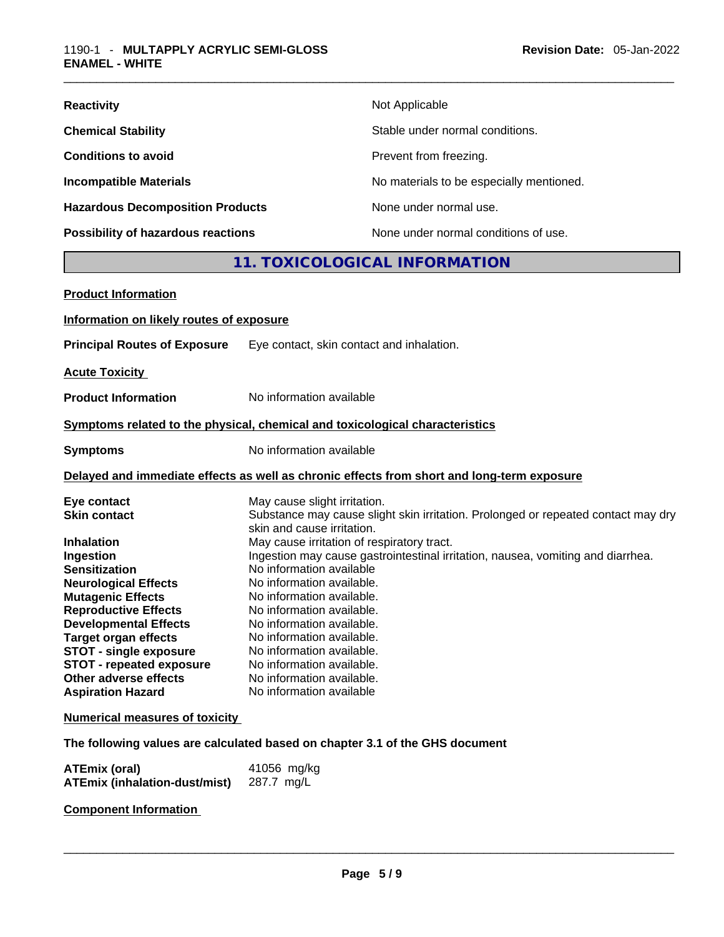| <b>Reactivity</b>                         | Not Applicable                           |
|-------------------------------------------|------------------------------------------|
| <b>Chemical Stability</b>                 | Stable under normal conditions.          |
| <b>Conditions to avoid</b>                | Prevent from freezing.                   |
| <b>Incompatible Materials</b>             | No materials to be especially mentioned. |
| <b>Hazardous Decomposition Products</b>   | None under normal use.                   |
| <b>Possibility of hazardous reactions</b> | None under normal conditions of use.     |

# **11. TOXICOLOGICAL INFORMATION**

| <b>Product Information</b>                                                                                                                                                                                                                                                                                                                                                     |                                                                                                                                                                                                                                                                                                                                                                                                                                                                                                                                                                                  |
|--------------------------------------------------------------------------------------------------------------------------------------------------------------------------------------------------------------------------------------------------------------------------------------------------------------------------------------------------------------------------------|----------------------------------------------------------------------------------------------------------------------------------------------------------------------------------------------------------------------------------------------------------------------------------------------------------------------------------------------------------------------------------------------------------------------------------------------------------------------------------------------------------------------------------------------------------------------------------|
| Information on likely routes of exposure                                                                                                                                                                                                                                                                                                                                       |                                                                                                                                                                                                                                                                                                                                                                                                                                                                                                                                                                                  |
| <b>Principal Routes of Exposure</b>                                                                                                                                                                                                                                                                                                                                            | Eye contact, skin contact and inhalation.                                                                                                                                                                                                                                                                                                                                                                                                                                                                                                                                        |
| <b>Acute Toxicity</b>                                                                                                                                                                                                                                                                                                                                                          |                                                                                                                                                                                                                                                                                                                                                                                                                                                                                                                                                                                  |
| <b>Product Information</b>                                                                                                                                                                                                                                                                                                                                                     | No information available                                                                                                                                                                                                                                                                                                                                                                                                                                                                                                                                                         |
|                                                                                                                                                                                                                                                                                                                                                                                | Symptoms related to the physical, chemical and toxicological characteristics                                                                                                                                                                                                                                                                                                                                                                                                                                                                                                     |
| <b>Symptoms</b>                                                                                                                                                                                                                                                                                                                                                                | No information available                                                                                                                                                                                                                                                                                                                                                                                                                                                                                                                                                         |
|                                                                                                                                                                                                                                                                                                                                                                                | Delayed and immediate effects as well as chronic effects from short and long-term exposure                                                                                                                                                                                                                                                                                                                                                                                                                                                                                       |
| Eye contact<br><b>Skin contact</b><br><b>Inhalation</b><br>Ingestion<br><b>Sensitization</b><br><b>Neurological Effects</b><br><b>Mutagenic Effects</b><br><b>Reproductive Effects</b><br><b>Developmental Effects</b><br><b>Target organ effects</b><br><b>STOT - single exposure</b><br><b>STOT - repeated exposure</b><br>Other adverse effects<br><b>Aspiration Hazard</b> | May cause slight irritation.<br>Substance may cause slight skin irritation. Prolonged or repeated contact may dry<br>skin and cause irritation.<br>May cause irritation of respiratory tract.<br>Ingestion may cause gastrointestinal irritation, nausea, vomiting and diarrhea.<br>No information available<br>No information available.<br>No information available.<br>No information available.<br>No information available.<br>No information available.<br>No information available.<br>No information available.<br>No information available.<br>No information available |
| <b>Numerical measures of toxicity</b>                                                                                                                                                                                                                                                                                                                                          |                                                                                                                                                                                                                                                                                                                                                                                                                                                                                                                                                                                  |
|                                                                                                                                                                                                                                                                                                                                                                                | The following values are calculated based on chapter 3.1 of the GHS document                                                                                                                                                                                                                                                                                                                                                                                                                                                                                                     |

| <b>ATEmix (oral)</b>                 | 41056 mg/kg |
|--------------------------------------|-------------|
| <b>ATEmix (inhalation-dust/mist)</b> | 287.7 mg/L  |

**Component Information**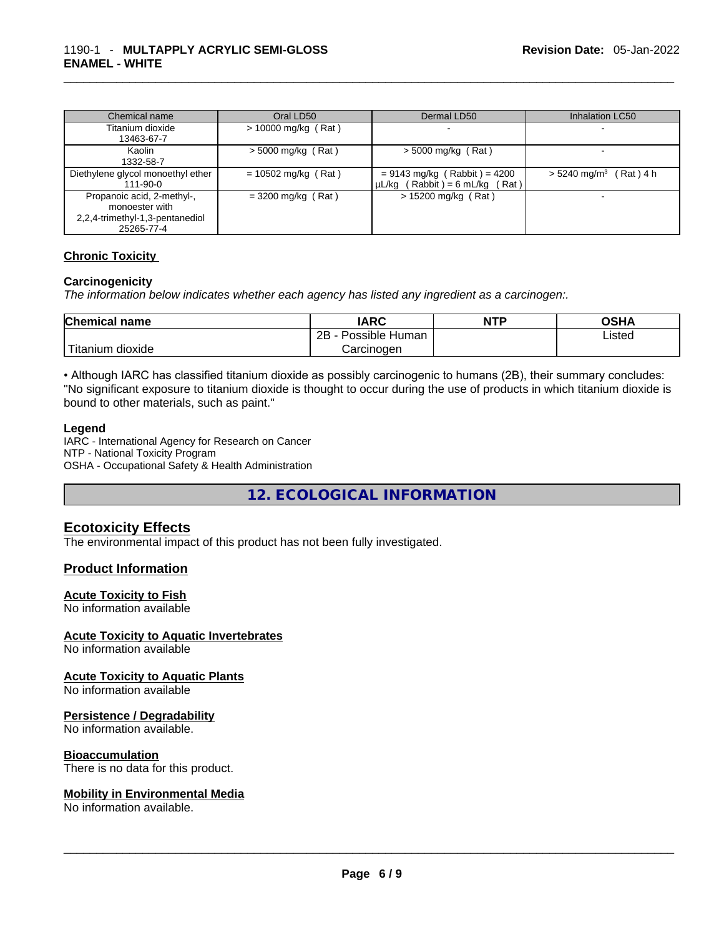| Chemical name                     | Oral LD50             | Dermal LD50                         | <b>Inhalation LC50</b>               |
|-----------------------------------|-----------------------|-------------------------------------|--------------------------------------|
| Titanium dioxide                  | $> 10000$ mg/kg (Rat) |                                     |                                      |
| 13463-67-7                        |                       |                                     |                                      |
| Kaolin                            | $>$ 5000 mg/kg (Rat)  | $>$ 5000 mg/kg (Rat)                |                                      |
| 1332-58-7                         |                       |                                     |                                      |
| Diethylene glycol monoethyl ether | $= 10502$ mg/kg (Rat) | $= 9143$ mg/kg (Rabbit) = 4200      | $> 5240$ mg/m <sup>3</sup> (Rat) 4 h |
| $111 - 90 - 0$                    |                       | $\mu L/kg$ (Rabbit) = 6 mL/kg (Rat) |                                      |
| Propanoic acid, 2-methyl-,        | $=$ 3200 mg/kg (Rat)  | $> 15200$ mg/kg (Rat)               |                                      |
| monoester with                    |                       |                                     |                                      |
| 2,2,4-trimethyl-1,3-pentanediol   |                       |                                     |                                      |
| 25265-77-4                        |                       |                                     |                                      |

#### **Chronic Toxicity**

#### **Carcinogenicity**

*The information below indicates whether each agency has listed any ingredient as a carcinogen:.* 

| <b>Chemical name</b>    | IARC                 | <b>NTP</b> | OSHA   |
|-------------------------|----------------------|------------|--------|
|                         | 2B<br>Possible Human |            | ∟isted |
| ' Titanium J<br>dioxide | Carcinogen           |            |        |

• Although IARC has classified titanium dioxide as possibly carcinogenic to humans (2B), their summary concludes: "No significant exposure to titanium dioxide is thought to occur during the use of products in which titanium dioxide is bound to other materials, such as paint."

#### **Legend**

IARC - International Agency for Research on Cancer NTP - National Toxicity Program OSHA - Occupational Safety & Health Administration

**12. ECOLOGICAL INFORMATION** 

#### **Ecotoxicity Effects**

The environmental impact of this product has not been fully investigated.

#### **Product Information**

#### **Acute Toxicity to Fish**

No information available

#### **Acute Toxicity to Aquatic Invertebrates**

No information available

#### **Acute Toxicity to Aquatic Plants**

No information available

#### **Persistence / Degradability**

No information available.

#### **Bioaccumulation**

There is no data for this product.

# **Mobility in Environmental Media**

No information available. \_\_\_\_\_\_\_\_\_\_\_\_\_\_\_\_\_\_\_\_\_\_\_\_\_\_\_\_\_\_\_\_\_\_\_\_\_\_\_\_\_\_\_\_\_\_\_\_\_\_\_\_\_\_\_\_\_\_\_\_\_\_\_\_\_\_\_\_\_\_\_\_\_\_\_\_\_\_\_\_\_\_\_\_\_\_\_\_\_\_\_\_\_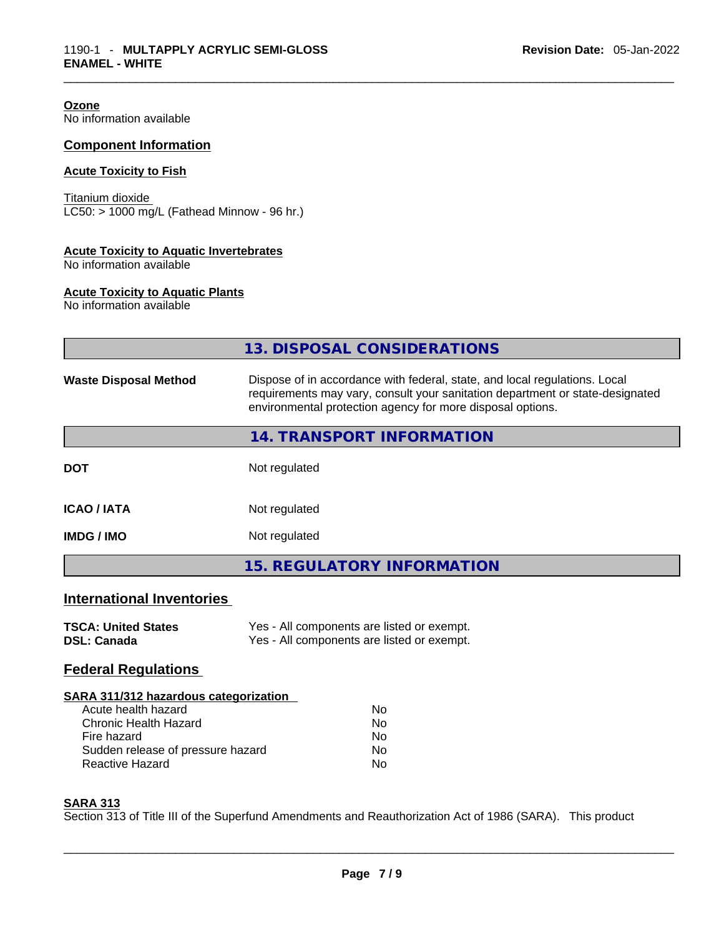**Ozone** No information available

#### **Component Information**

#### **Acute Toxicity to Fish**

Titanium dioxide  $LC50: > 1000$  mg/L (Fathead Minnow - 96 hr.)

#### **Acute Toxicity to Aquatic Invertebrates**

No information available

#### **Acute Toxicity to Aquatic Plants**

No information available

|                                                                                                                                                                     | 13. DISPOSAL CONSIDERATIONS                                                                                                                                                                                               |  |  |
|---------------------------------------------------------------------------------------------------------------------------------------------------------------------|---------------------------------------------------------------------------------------------------------------------------------------------------------------------------------------------------------------------------|--|--|
| <b>Waste Disposal Method</b>                                                                                                                                        | Dispose of in accordance with federal, state, and local regulations. Local<br>requirements may vary, consult your sanitation department or state-designated<br>environmental protection agency for more disposal options. |  |  |
|                                                                                                                                                                     | 14. TRANSPORT INFORMATION                                                                                                                                                                                                 |  |  |
| <b>DOT</b>                                                                                                                                                          | Not regulated                                                                                                                                                                                                             |  |  |
| <b>ICAO/IATA</b>                                                                                                                                                    | Not regulated                                                                                                                                                                                                             |  |  |
| <b>IMDG / IMO</b>                                                                                                                                                   | Not regulated                                                                                                                                                                                                             |  |  |
|                                                                                                                                                                     | <b>15. REGULATORY INFORMATION</b>                                                                                                                                                                                         |  |  |
| <b>International Inventories</b>                                                                                                                                    |                                                                                                                                                                                                                           |  |  |
| <b>TSCA: United States</b><br><b>DSL: Canada</b>                                                                                                                    | Yes - All components are listed or exempt.<br>Yes - All components are listed or exempt.                                                                                                                                  |  |  |
| <b>Federal Regulations</b>                                                                                                                                          |                                                                                                                                                                                                                           |  |  |
| SARA 311/312 hazardous categorization<br>Acute health hazard<br>Chronic Health Hazard<br>Fire hazard<br>Sudden release of pressure hazard<br><b>Reactive Hazard</b> | <b>No</b><br><b>No</b><br>No.<br><b>No</b><br>No                                                                                                                                                                          |  |  |

#### **SARA 313**

Section 313 of Title III of the Superfund Amendments and Reauthorization Act of 1986 (SARA). This product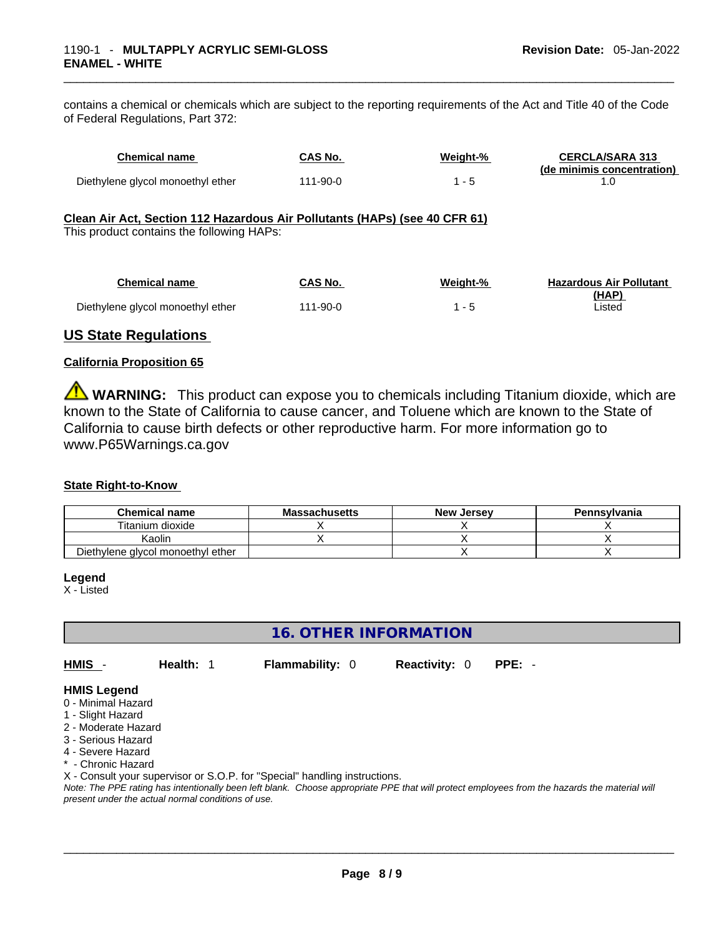contains a chemical or chemicals which are subject to the reporting requirements of the Act and Title 40 of the Code of Federal Regulations, Part 372:

| <b>Chemical name</b>                                                                                                    | <b>CAS No.</b> | Weight-% | <b>CERCLA/SARA 313</b><br>(de minimis concentration) |
|-------------------------------------------------------------------------------------------------------------------------|----------------|----------|------------------------------------------------------|
| Diethylene glycol monoethyl ether                                                                                       | $111 - 90 - 0$ | $1 - 5$  | 1.0                                                  |
| Clean Air Act, Section 112 Hazardous Air Pollutants (HAPs) (see 40 CFR 61)<br>This product contains the following HAPs: |                |          |                                                      |
| <b>Chemical name</b>                                                                                                    | <b>CAS No.</b> | Weight-% | <b>Hazardous Air Pollutant</b><br>(HAP)              |
| Diethylene glycol monoethyl ether                                                                                       | $111 - 90 - 0$ | $1 - 5$  | Listed                                               |
|                                                                                                                         |                |          |                                                      |

### **US State Regulations**

#### **California Proposition 65**

**WARNING:** This product can expose you to chemicals including Titanium dioxide, which are known to the State of California to cause cancer, and Toluene which are known to the State of California to cause birth defects or other reproductive harm. For more information go to www.P65Warnings.ca.gov

#### **State Right-to-Know**

| <b>Chemical name</b>              | <b>Massachusetts</b> | <b>New Jersey</b> | Pennsylvania |
|-----------------------------------|----------------------|-------------------|--------------|
| Titanium dioxide                  |                      |                   |              |
| Kaolin                            |                      |                   |              |
| Diethylene glycol monoethyl ether |                      |                   |              |

#### **Legend**

X - Listed

## **16. OTHER INFORMATION**

**HMIS** - **Health:** 1 **Flammability:** 0 **Reactivity:** 0 **PPE:** -

#### **HMIS Legend**

- 0 Minimal Hazard
- 1 Slight Hazard
- 2 Moderate Hazard
- 3 Serious Hazard
- 4 Severe Hazard
- \* Chronic Hazard

X - Consult your supervisor or S.O.P. for "Special" handling instructions.

Note: The PPE rating has intentionally been left blank. Choose appropriate PPE that will protect employees from the hazards the material will *present under the actual normal conditions of use.*